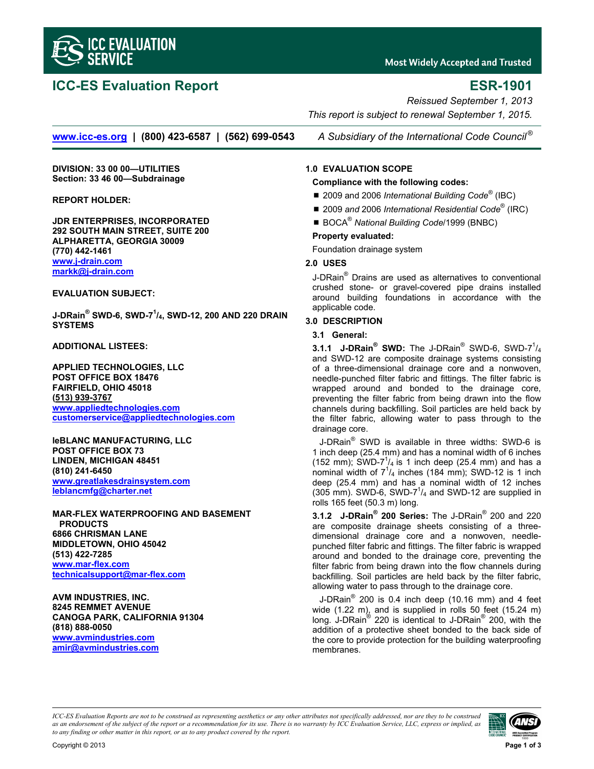

# **ICC-ES Evaluation Report ESR-1901**

**Most Widely Accepted and Trusted** 

*Reissued September 1, 2013 This report is subject to renewal September 1, 2015.* 

**www.icc-es.org | (800) 423-6587 | (562) 699-0543** *A Subsidiary of the International Code Council ®*

**DIVISION: 33 00 00—UTILITIES Section: 33 46 00—Subdrainage** 

#### **REPORT HOLDER:**

**JDR ENTERPRISES, INCORPORATED 292 SOUTH MAIN STREET, SUITE 200 ALPHARETTA, GEORGIA 30009 (770) 442-1461 www.j-drain.com markk@j-drain.com**

# **EVALUATION SUBJECT:**

**J-DRain® SWD-6, SWD-71 /4, SWD-12, 200 AND 220 DRAIN SYSTEMS** 

**ADDITIONAL LISTEES:** 

**APPLIED TECHNOLOGIES, LLC POST OFFICE BOX 18476 FAIRFIELD, OHIO 45018 (513) 939-3767 www.appliedtechnologies.com customerservice@appliedtechnologies.com**

**leBLANC MANUFACTURING, LLC POST OFFICE BOX 73 LINDEN, MICHIGAN 48451 (810) 241-6450 www.greatlakesdrainsystem.com leblancmfg@charter.net**

**MAR-FLEX WATERPROOFING AND BASEMENT PRODUCTS 6866 CHRISMAN LANE MIDDLETOWN, OHIO 45042 (513) 422-7285 www.mar-flex.com technicalsupport@mar-flex.com**

**AVM INDUSTRIES, INC. 8245 REMMET AVENUE CANOGA PARK, CALIFORNIA 91304 (818) 888-0050 www.avmindustries.com amir@avmindustries.com**

# **1.0 EVALUATION SCOPE**

#### **Compliance with the following codes:**

- 2009 and 2006 *International Building Code*<sup>®</sup> (IBC)
- 2009 and 2006 International Residential Code<sup>®</sup> (IRC)
- BOCA<sup>®</sup> National Building Code/1999 (BNBC)

# **Property evaluated:**

Foundation drainage system

# **2.0 USES**

J-DRain® Drains are used as alternatives to conventional crushed stone- or gravel-covered pipe drains installed around building foundations in accordance with the applicable code.

# **3.0 DESCRIPTION**

# **3.1 General:**

**3.1.1 J-DRain® SWD:** The J-DRain® SWD-6, SWD-7<sup>1</sup>/<sub>4</sub> and SWD-12 are composite drainage systems consisting of a three-dimensional drainage core and a nonwoven, needle-punched filter fabric and fittings. The filter fabric is wrapped around and bonded to the drainage core, preventing the filter fabric from being drawn into the flow channels during backfilling. Soil particles are held back by the filter fabric, allowing water to pass through to the drainage core.

J-DRain® SWD is available in three widths: SWD-6 is 1 inch deep (25.4 mm) and has a nominal width of 6 inches (152 mm); SWD-7 $^{1}/_{4}$  is 1 inch deep (25.4 mm) and has a nominal width of  $7^{1}/_4$  inches (184 mm); SWD-12 is 1 inch deep (25.4 mm) and has a nominal width of 12 inches (305 mm). SWD-6, SWD-7 $1/4$  and SWD-12 are supplied in rolls 165 feet (50.3 m) long.

**3.1.2 J-DRain® 200 Series:** The J-DRain® 200 and 220 are composite drainage sheets consisting of a threedimensional drainage core and a nonwoven, needlepunched filter fabric and fittings. The filter fabric is wrapped around and bonded to the drainage core, preventing the filter fabric from being drawn into the flow channels during backfilling. Soil particles are held back by the filter fabric, allowing water to pass through to the drainage core.

J-DRain $^{\circ}$  200 is 0.4 inch deep (10.16 mm) and 4 feet wide (1.22 m), and is supplied in rolls 50 feet (15.24 m) long. J-DRain® 220 is identical to J-DRain® 200, with the addition of a protective sheet bonded to the back side of the core to provide protection for the building waterproofing membranes.

*ICC-ES Evaluation Reports are not to be construed as representing aesthetics or any other attributes not specifically addressed, nor are they to be construed as an endorsement of the subject of the report or a recommendation for its use. There is no warranty by ICC Evaluation Service, LLC, express or implied, as to any finding or other matter in this report, or as to any product covered by the report.*

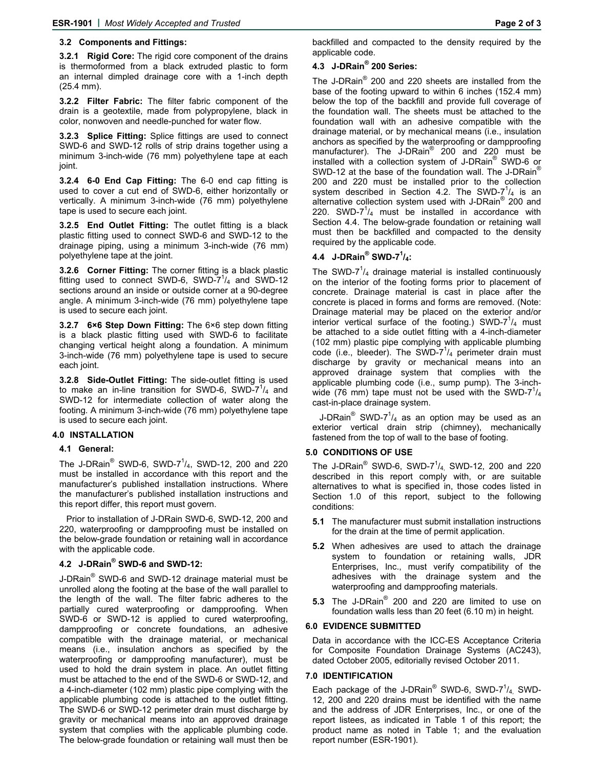### **3.2 Components and Fittings:**

**3.2.1 Rigid Core:** The rigid core component of the drains is thermoformed from a black extruded plastic to form an internal dimpled drainage core with a 1-inch depth (25.4 mm).

**3.2.2 Filter Fabric:** The filter fabric component of the drain is a geotextile, made from polypropylene, black in color, nonwoven and needle-punched for water flow.

**3.2.3 Splice Fitting:** Splice fittings are used to connect SWD-6 and SWD-12 rolls of strip drains together using a minimum 3-inch-wide (76 mm) polyethylene tape at each joint.

**3.2.4 6-0 End Cap Fitting:** The 6-0 end cap fitting is used to cover a cut end of SWD-6, either horizontally or vertically. A minimum 3-inch-wide (76 mm) polyethylene tape is used to secure each joint.

**3.2.5 End Outlet Fitting:** The outlet fitting is a black plastic fitting used to connect SWD-6 and SWD-12 to the drainage piping, using a minimum 3-inch-wide (76 mm) polyethylene tape at the joint.

**3.2.6 Corner Fitting:** The corner fitting is a black plastic fitting used to connect SWD-6, SWD- $7^{1}/_{4}$  and SWD-12 sections around an inside or outside corner at a 90-degree angle. A minimum 3-inch-wide (76 mm) polyethylene tape is used to secure each joint.

**3.2.7 6×6 Step Down Fitting:** The 6×6 step down fitting is a black plastic fitting used with SWD-6 to facilitate changing vertical height along a foundation. A minimum 3-inch-wide (76 mm) polyethylene tape is used to secure each joint.

**3.2.8 Side-Outlet Fitting:** The side-outlet fitting is used to make an in-line transition for SWD-6, SWD-7 $1/4$  and SWD-12 for intermediate collection of water along the footing. A minimum 3-inch-wide (76 mm) polyethylene tape is used to secure each joint.

# **4.0 INSTALLATION**

#### **4.1 General:**

The J-DRain® SWD-6, SWD-7<sup>1</sup>/<sub>4</sub>, SWD-12, 200 and 220 must be installed in accordance with this report and the manufacturer's published installation instructions. Where the manufacturer's published installation instructions and this report differ, this report must govern.

Prior to installation of J-DRain SWD-6, SWD-12, 200 and 220, waterproofing or dampproofing must be installed on the below-grade foundation or retaining wall in accordance with the applicable code.

# **4.2 J-DRain® SWD-6 and SWD-12:**

J-DRain<sup>®</sup> SWD-6 and SWD-12 drainage material must be unrolled along the footing at the base of the wall parallel to the length of the wall. The filter fabric adheres to the partially cured waterproofing or dampproofing. When SWD-6 or SWD-12 is applied to cured waterproofing, dampproofing or concrete foundations, an adhesive compatible with the drainage material, or mechanical means (i.e., insulation anchors as specified by the waterproofing or dampproofing manufacturer), must be used to hold the drain system in place. An outlet fitting must be attached to the end of the SWD-6 or SWD-12, and a 4-inch-diameter (102 mm) plastic pipe complying with the applicable plumbing code is attached to the outlet fitting. The SWD-6 or SWD-12 perimeter drain must discharge by gravity or mechanical means into an approved drainage system that complies with the applicable plumbing code. The below-grade foundation or retaining wall must then be

backfilled and compacted to the density required by the applicable code.

# **4.3 J-DRain® 200 Series:**

The J-DRain® 200 and 220 sheets are installed from the base of the footing upward to within 6 inches (152.4 mm) below the top of the backfill and provide full coverage of the foundation wall. The sheets must be attached to the foundation wall with an adhesive compatible with the drainage material, or by mechanical means (i.e., insulation anchors as specified by the waterproofing or dampproofing manufacturer). The J-DRain® 200 and 220 must be installed with a collection system of J-DRain® SWD-6 or SWD-12 at the base of the foundation wall. The J-DRain<sup>®</sup> 200 and 220 must be installed prior to the collection system described in Section 4.2. The SWD- $7^{1}/_{4}$  is an alternative collection system used with J-DRain<sup>®</sup> 200 and 220. SWD-7 $1/4$  must be installed in accordance with Section 4.4. The below-grade foundation or retaining wall must then be backfilled and compacted to the density required by the applicable code.

# **4.4 J-DRain® SWD-71 /4:**

The SWD-7 $1/4$  drainage material is installed continuously on the interior of the footing forms prior to placement of concrete. Drainage material is cast in place after the concrete is placed in forms and forms are removed. (Note: Drainage material may be placed on the exterior and/or interior vertical surface of the footing.) SWD- $7^{1}/_{4}$  must be attached to a side outlet fitting with a 4-inch-diameter (102 mm) plastic pipe complying with applicable plumbing code (i.e., bleeder). The SWD-7 $1/4$  perimeter drain must discharge by gravity or mechanical means into an approved drainage system that complies with the applicable plumbing code (i.e., sump pump). The 3-inchwide (76 mm) tape must not be used with the SWD- $7<sup>1</sup>/_4$ cast-in-place drainage system.

J-DRain $^{\circledR}$  SWD-7 $^{\prime\prime}$  as an option may be used as an exterior vertical drain strip (chimney), mechanically fastened from the top of wall to the base of footing.

#### **5.0 CONDITIONS OF USE**

The J-DRain<sup>®</sup> SWD-6, SWD-7<sup>1</sup>/<sub>4,</sub> SWD-12, 200 and 220 described in this report comply with, or are suitable alternatives to what is specified in, those codes listed in Section 1.0 of this report, subject to the following conditions:

- **5.1** The manufacturer must submit installation instructions for the drain at the time of permit application.
- **5.2** When adhesives are used to attach the drainage system to foundation or retaining walls, JDR Enterprises, Inc., must verify compatibility of the adhesives with the drainage system and the waterproofing and dampproofing materials.
- **5.3** The J-DRain® 200 and 220 are limited to use on foundation walls less than 20 feet (6.10 m) in height.

#### **6.0 EVIDENCE SUBMITTED**

Data in accordance with the ICC-ES Acceptance Criteria for Composite Foundation Drainage Systems (AC243), dated October 2005, editorially revised October 2011.

#### **7.0 IDENTIFICATION**

Each package of the J-DRain® SWD-6, SWD-7 $1/4$ , SWD-12, 200 and 220 drains must be identified with the name and the address of JDR Enterprises, Inc., or one of the report listees, as indicated in Table 1 of this report; the product name as noted in Table 1; and the evaluation report number (ESR-1901).